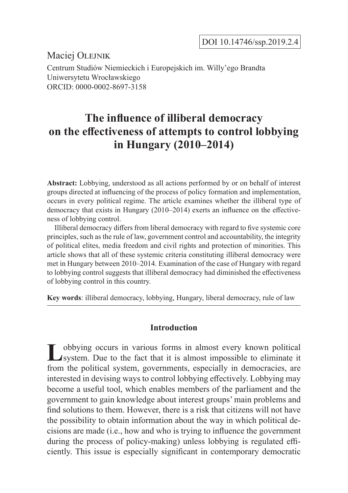DOI 10.14746/ssp.2019.2.4

Maciei OLEJNIK

Centrum Studiów Niemieckich i Europejskich im. Willy'ego Brandta Uniwersytetu Wrocławskiego ORCID: 0000-0002-8697-3158

# **The influence of illiberal democracy on the effectiveness of attempts to control lobbying in Hungary (2010–2014)**

**Abstract:** Lobbying, understood as all actions performed by or on behalf of interest groups directed at influencing of the process of policy formation and implementation, occurs in every political regime. The article examines whether the illiberal type of democracy that exists in Hungary (2010–2014) exerts an influence on the effectiveness of lobbying control.

Illiberal democracy differs from liberal democracy with regard to five systemic core principles, such as the rule of law, government control and accountability, the integrity of political elites, media freedom and civil rights and protection of minorities. This article shows that all of these systemic criteria constituting illiberal democracy were met in Hungary between 2010–2014. Examination of the case of Hungary with regard to lobbying control suggests that illiberal democracy had diminished the effectiveness of lobbying control in this country.

**Key words**: illiberal democracy, lobbying, Hungary, liberal democracy, rule of law

#### **Introduction**

**L**obbying occurs in various forms in almost every known political system. Due to the fact that it is almost impossible to eliminate it from the political system, governments, especially in democracies, are interested in devising ways to control lobbying effectively. Lobbying may become a useful tool, which enables members of the parliament and the government to gain knowledge about interest groups' main problems and find solutions to them. However, there is a risk that citizens will not have the possibility to obtain information about the way in which political decisions are made (i.e., how and who is trying to influence the government during the process of policy-making) unless lobbying is regulated efficiently. This issue is especially significant in contemporary democratic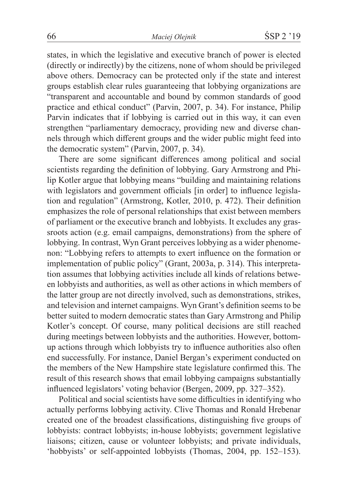states, in which the legislative and executive branch of power is elected (directly or indirectly) by the citizens, none of whom should be privileged above others. Democracy can be protected only if the state and interest groups establish clear rules guaranteeing that lobbying organizations are "transparent and accountable and bound by common standards of good practice and ethical conduct" (Parvin, 2007, p. 34). For instance, Philip Parvin indicates that if lobbying is carried out in this way, it can even strengthen "parliamentary democracy, providing new and diverse channels through which different groups and the wider public might feed into the democratic system" (Parvin, 2007, p. 34).

There are some significant differences among political and social scientists regarding the definition of lobbying. Gary Armstrong and Philip Kotler argue that lobbying means "building and maintaining relations with legislators and government officials [in order] to influence legislation and regulation" (Armstrong, Kotler, 2010, p. 472). Their definition emphasizes the role of personal relationships that exist between members of parliament or the executive branch and lobbyists. It excludes any grassroots action (e.g. email campaigns, demonstrations) from the sphere of lobbying. In contrast, Wyn Grant perceives lobbying as a wider phenomenon: "Lobbying refers to attempts to exert influence on the formation or implementation of public policy" (Grant, 2003a, p. 314). This interpretation assumes that lobbying activities include all kinds of relations between lobbyists and authorities, as well as other actions in which members of the latter group are not directly involved, such as demonstrations, strikes, and television and internet campaigns. Wyn Grant's definition seems to be better suited to modern democratic states than Gary Armstrong and Philip Kotler's concept. Of course, many political decisions are still reached during meetings between lobbyists and the authorities. However, bottomup actions through which lobbyists try to influence authorities also often end successfully. For instance, Daniel Bergan's experiment conducted on the members of the New Hampshire state legislature confirmed this. The result of this research shows that email lobbying campaigns substantially influenced legislators' voting behavior (Bergen, 2009, pp. 327–352).

Political and social scientists have some difficulties in identifying who actually performs lobbying activity. Clive Thomas and Ronald Hrebenar created one of the broadest classifications, distinguishing five groups of lobbyists: contract lobbyists; in-house lobbyists; government legislative liaisons; citizen, cause or volunteer lobbyists; and private individuals, 'hobbyists' or self-appointed lobbyists (Thomas, 2004, pp. 152–153).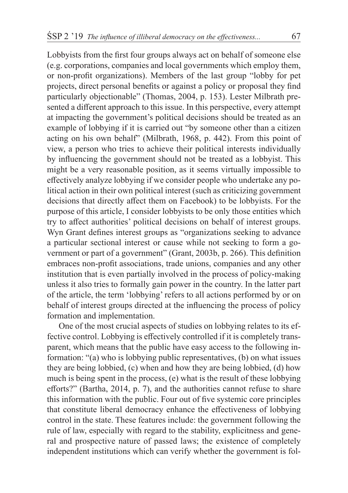Lobbyists from the first four groups always act on behalf of someone else (e.g. corporations, companies and local governments which employ them, or non-profit organizations). Members of the last group "lobby for pet projects, direct personal benefits or against a policy or proposal they find particularly objectionable" (Thomas, 2004, p. 153). Lester Milbrath presented a different approach to this issue. In this perspective, every attempt at impacting the government's political decisions should be treated as an example of lobbying if it is carried out "by someone other than a citizen acting on his own behalf" (Milbrath, 1968, p. 442). From this point of view, a person who tries to achieve their political interests individually by influencing the government should not be treated as a lobbyist. This might be a very reasonable position, as it seems virtually impossible to effectively analyze lobbying if we consider people who undertake any political action in their own political interest (such as criticizing government decisions that directly affect them on Facebook) to be lobbyists. For the purpose of this article, I consider lobbyists to be only those entities which try to affect authorities' political decisions on behalf of interest groups. Wyn Grant defines interest groups as "organizations seeking to advance a particular sectional interest or cause while not seeking to form a government or part of a government" (Grant, 2003b, p. 266). This definition embraces non-profit associations, trade unions, companies and any other institution that is even partially involved in the process of policy-making unless it also tries to formally gain power in the country. In the latter part of the article, the term 'lobbying' refers to all actions performed by or on behalf of interest groups directed at the influencing the process of policy formation and implementation.

One of the most crucial aspects of studies on lobbying relates to its effective control. Lobbying is effectively controlled if it is completely transparent, which means that the public have easy access to the following information: "(a) who is lobbying public representatives, (b) on what issues they are being lobbied, (c) when and how they are being lobbied, (d) how much is being spent in the process, (e) what is the result of these lobbying efforts?" (Bartha, 2014, p. 7), and the authorities cannot refuse to share this information with the public. Four out of five systemic core principles that constitute liberal democracy enhance the effectiveness of lobbying control in the state. These features include: the government following the rule of law, especially with regard to the stability, explicitness and general and prospective nature of passed laws; the existence of completely independent institutions which can verify whether the government is fol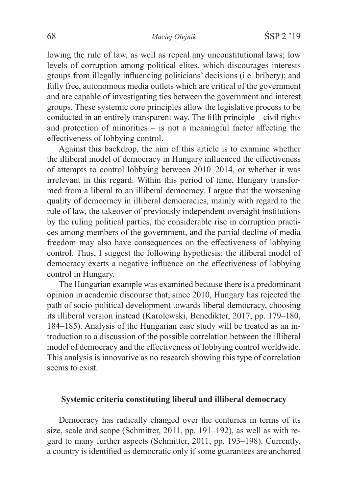lowing the rule of law, as well as repeal any unconstitutional laws; low levels of corruption among political elites, which discourages interests groups from illegally influencing politicians' decisions (i.e. bribery); and fully free, autonomous media outlets which are critical of the government and are capable of investigating ties between the government and interest groups. These systemic core principles allow the legislative process to be conducted in an entirely transparent way. The fifth principle – civil rights and protection of minorities – is not a meaningful factor affecting the effectiveness of lobbying control.

Against this backdrop, the aim of this article is to examine whether the illiberal model of democracy in Hungary influenced the effectiveness of attempts to control lobbying between 2010–2014, or whether it was irrelevant in this regard. Within this period of time, Hungary transformed from a liberal to an illiberal democracy. I argue that the worsening quality of democracy in illiberal democracies, mainly with regard to the rule of law, the takeover of previously independent oversight institutions by the ruling political parties, the considerable rise in corruption practices among members of the government, and the partial decline of media freedom may also have consequences on the effectiveness of lobbying control. Thus, I suggest the following hypothesis: the illiberal model of democracy exerts a negative influence on the effectiveness of lobbying control in Hungary.

The Hungarian example was examined because there is a predominant opinion in academic discourse that, since 2010, Hungary has rejected the path of socio-political development towards liberal democracy, choosing its illiberal version instead (Karolewski, Benedikter, 2017, pp. 179–180, 184–185). Analysis of the Hungarian case study will be treated as an introduction to a discussion of the possible correlation between the illiberal model of democracy and the effectiveness of lobbying control worldwide. This analysis is innovative as no research showing this type of correlation seems to exist.

## **Systemic criteria constituting liberal and illiberal democracy**

Democracy has radically changed over the centuries in terms of its size, scale and scope (Schmitter, 2011, pp. 191–192), as well as with regard to many further aspects (Schmitter, 2011, pp. 193–198). Currently, a country is identified as democratic only if some guarantees are anchored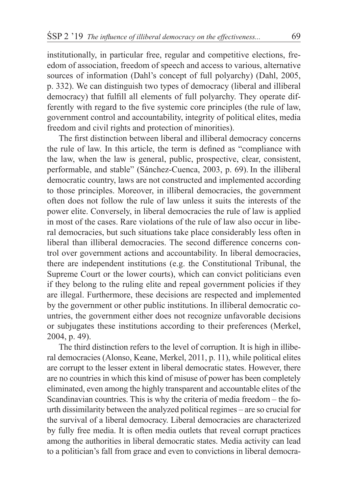institutionally, in particular free, regular and competitive elections, freedom of association, freedom of speech and access to various, alternative sources of information (Dahl's concept of full polyarchy) (Dahl, 2005, p. 332). We can distinguish two types of democracy (liberal and illiberal democracy) that fulfill all elements of full polyarchy. They operate differently with regard to the five systemic core principles (the rule of law, government control and accountability, integrity of political elites, media freedom and civil rights and protection of minorities).

The first distinction between liberal and illiberal democracy concerns the rule of law. In this article, the term is defined as "compliance with the law, when the law is general, public, prospective, clear, consistent, performable, and stable" (Sánchez-Cuenca, 2003, p. 69). In the illiberal democratic country, laws are not constructed and implemented according to those principles. Moreover, in illiberal democracies, the government often does not follow the rule of law unless it suits the interests of the power elite. Conversely, in liberal democracies the rule of law is applied in most of the cases. Rare violations of the rule of law also occur in liberal democracies, but such situations take place considerably less often in liberal than illiberal democracies. The second difference concerns control over government actions and accountability. In liberal democracies, there are independent institutions (e.g. the Constitutional Tribunal, the Supreme Court or the lower courts), which can convict politicians even if they belong to the ruling elite and repeal government policies if they are illegal. Furthermore, these decisions are respected and implemented by the government or other public institutions. In illiberal democratic countries, the government either does not recognize unfavorable decisions or subjugates these institutions according to their preferences (Merkel, 2004, p. 49).

The third distinction refers to the level of corruption. It is high in illiberal democracies (Alonso, Keane, Merkel, 2011, p. 11), while political elites are corrupt to the lesser extent in liberal democratic states. However, there are no countries in which this kind of misuse of power has been completely eliminated, even among the highly transparent and accountable elites of the Scandinavian countries. This is why the criteria of media freedom – the fourth dissimilarity between the analyzed political regimes – are so crucial for the survival of a liberal democracy. Liberal democracies are characterized by fully free media. It is often media outlets that reveal corrupt practices among the authorities in liberal democratic states. Media activity can lead to a politician's fall from grace and even to convictions in liberal democra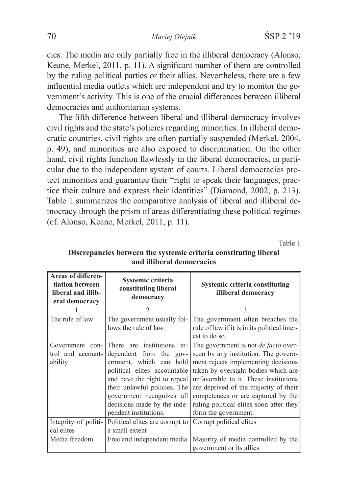cies. The media are only partially free in the illiberal democracy (Alonso, Keane, Merkel, 2011, p. 11). A significant number of them are controlled by the ruling political parties or their allies. Nevertheless, there are a few influential media outlets which are independent and try to monitor the government's activity. This is one of the crucial differences between illiberal democracies and authoritarian systems.

The fifth difference between liberal and illiberal democracy involves civil rights and the state's policies regarding minorities. In illiberal democratic countries, civil rights are often partially suspended (Merkel, 2004, p. 49), and minorities are also exposed to discrimination. On the other hand, civil rights function flawlessly in the liberal democracies, in particular due to the independent system of courts. Liberal democracies protect minorities and guarantee their "right to speak their languages, practice their culture and express their identities" (Diamond, 2002, p. 213). Table 1 summarizes the comparative analysis of liberal and illiberal democracy through the prism of areas differentiating these political regimes (cf. Alonso, Keane, Merkel, 2011, p. 11).

Table 1

| <b>Areas of differen-</b><br>tiation between<br>liberal and illib-<br>eral democracy | Systemic criteria<br>constituting liberal<br>democracy | Systemic criteria constituting<br>illiberal democracy                          |
|--------------------------------------------------------------------------------------|--------------------------------------------------------|--------------------------------------------------------------------------------|
|                                                                                      | $\mathcal{D}$                                          | $\mathbf{3}$                                                                   |
| The rule of law                                                                      | The government usually fol-                            | The government often breaches the                                              |
|                                                                                      | lows the rule of law.                                  | rule of law if it is in its political inter-                                   |
|                                                                                      |                                                        | est to do so.                                                                  |
| Government con-                                                                      |                                                        | There are institutions in- $\vert$ The government is not <i>de facto</i> over- |
| trol and account-                                                                    | dependent from the gov-                                | seen by any institution. The govern-                                           |
| ability                                                                              | ernment, which can hold                                | ment rejects implementing decisions                                            |
|                                                                                      | political elites accountable                           | taken by oversight bodies which are                                            |
|                                                                                      | and have the right to repeal                           | unfavorable to it. These institutions                                          |
|                                                                                      | their unlawful policies. The                           | are deprived of the majority of their                                          |
|                                                                                      | government recognizes all                              | competences or are captured by the                                             |
|                                                                                      | decisions made by the inde-                            | ruling political elites soon after they                                        |
|                                                                                      | pendent institutions.                                  | form the government.                                                           |
| Integrity of politi-                                                                 | Political elites are corrupt to                        | Corrupt political elites                                                       |
| cal elites                                                                           | a small extent                                         |                                                                                |
| Media freedom                                                                        | Free and independent media                             | Majority of media controlled by the                                            |
|                                                                                      |                                                        | government or its allies                                                       |

# **Discrepancies between the systemic criteria constituting liberal and illiberal democracies**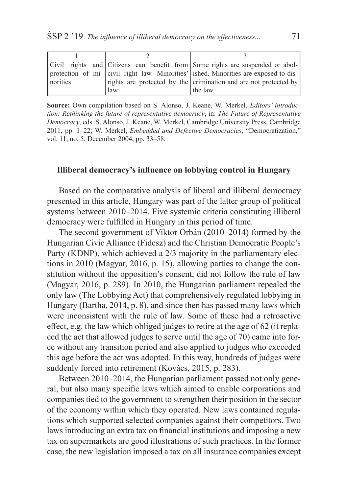|          |      | Civil rights and Citizens can benefit from Some rights are suspended or abol-        |
|----------|------|--------------------------------------------------------------------------------------|
|          |      | protection of mi- civil right law. Minorities' ished. Minorities are exposed to dis- |
| norities |      | rights are protected by the crimination and are not protected by                     |
|          | law. | the law.                                                                             |

**Source:** Own compilation based on S. Alonso, J. Keane, W. Merkel, *Editors' introduction: Rethinking the future of representative democracy*, in: *The Future of Representative Democracy*, eds. S. Alonso, J. Keane, W. Merkel, Cambridge University Press, Cambridge 2011, pp. 1–22; W. Merkel, *Embedded and Defective Democracies*, "Democratization," vol. 11, no. 5, December 2004, pp. 33–58.

### **Illiberal democracy's influence on lobbying control in Hungary**

Based on the comparative analysis of liberal and illiberal democracy presented in this article, Hungary was part of the latter group of political systems between 2010–2014. Five systemic criteria constituting illiberal democracy were fulfilled in Hungary in this period of time.

The second government of Viktor Orbán (2010–2014) formed by the Hungarian Civic Alliance (Fidesz) and the Christian Democratic People's Party (KDNP), which achieved a 2/3 majority in the parliamentary elections in 2010 (Magyar, 2016, p. 15), allowing parties to change the constitution without the opposition's consent, did not follow the rule of law (Magyar, 2016, p. 289). In 2010, the Hungarian parliament repealed the only law (The Lobbying Act) that comprehensively regulated lobbying in Hungary (Bartha, 2014, p. 8), and since then has passed many laws which were inconsistent with the rule of law. Some of these had a retroactive effect, e.g. the law which obliged judges to retire at the age of 62 (it replaced the act that allowed judges to serve until the age of 70) came into force without any transition period and also applied to judges who exceeded this age before the act was adopted. In this way, hundreds of judges were suddenly forced into retirement (Kovács, 2015, p. 283).

Between 2010–2014, the Hungarian parliament passed not only general, but also many specific laws which aimed to enable corporations and companies tied to the government to strengthen their position in the sector of the economy within which they operated. New laws contained regulations which supported selected companies against their competitors. Two laws introducing an extra tax on financial institutions and imposing a new tax on supermarkets are good illustrations of such practices. In the former case, the new legislation imposed a tax on all insurance companies except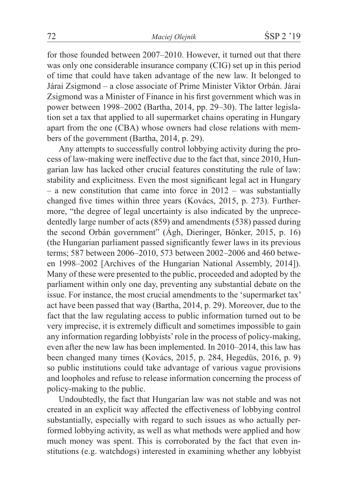for those founded between 2007–2010. However, it turned out that there was only one considerable insurance company (CIG) set up in this period of time that could have taken advantage of the new law. It belonged to Járai Zsigmond – a close associate of Prime Minister Viktor Orbán. Járai Zsigmond was a Minister of Finance in his first government which was in power between 1998–2002 (Bartha, 2014, pp. 29–30). The latter legislation set a tax that applied to all supermarket chains operating in Hungary apart from the one (CBA) whose owners had close relations with members of the government (Bartha, 2014, p. 29).

Any attempts to successfully control lobbying activity during the process of law-making were ineffective due to the fact that, since 2010, Hungarian law has lacked other crucial features constituting the rule of law: stability and explicitness. Even the most significant legal act in Hungary – a new constitution that came into force in  $2012$  – was substantially changed five times within three years (Kovács, 2015, p. 273). Furthermore, "the degree of legal uncertainty is also indicated by the unprecedentedly large number of acts (859) and amendments (538) passed during the second Orbán government" (Ágh, Dieringer, Bönker, 2015, p. 16) (the Hungarian parliament passed significantly fewer laws in its previous terms; 587 between 2006–2010, 573 between 2002–2006 and 460 between 1998–2002 [Archives of the Hungarian National Assembly, 2014]). Many of these were presented to the public, proceeded and adopted by the parliament within only one day, preventing any substantial debate on the issue. For instance, the most crucial amendments to the 'supermarket tax' act have been passed that way (Bartha, 2014, p. 29). Moreover, due to the fact that the law regulating access to public information turned out to be very imprecise, it is extremely difficult and sometimes impossible to gain any information regarding lobbyists' role in the process of policy-making, even after the new law has been implemented. In 2010–2014, this law has been changed many times (Kovács, 2015, p. 284, Hegedüs, 2016, p. 9) so public institutions could take advantage of various vague provisions and loopholes and refuse to release information concerning the process of policy-making to the public.

Undoubtedly, the fact that Hungarian law was not stable and was not created in an explicit way affected the effectiveness of lobbying control substantially, especially with regard to such issues as who actually performed lobbying activity, as well as what methods were applied and how much money was spent. This is corroborated by the fact that even institutions (e.g. watchdogs) interested in examining whether any lobbyist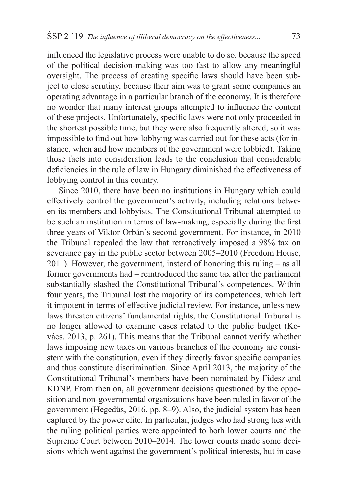influenced the legislative process were unable to do so, because the speed of the political decision-making was too fast to allow any meaningful oversight. The process of creating specific laws should have been subject to close scrutiny, because their aim was to grant some companies an operating advantage in a particular branch of the economy. It is therefore no wonder that many interest groups attempted to influence the content of these projects. Unfortunately, specific laws were not only proceeded in the shortest possible time, but they were also frequently altered, so it was impossible to find out how lobbying was carried out for these acts (for instance, when and how members of the government were lobbied). Taking those facts into consideration leads to the conclusion that considerable deficiencies in the rule of law in Hungary diminished the effectiveness of lobbying control in this country.

Since 2010, there have been no institutions in Hungary which could effectively control the government's activity, including relations between its members and lobbyists. The Constitutional Tribunal attempted to be such an institution in terms of law-making, especially during the first three years of Viktor Orbán's second government. For instance, in 2010 the Tribunal repealed the law that retroactively imposed a 98% tax on severance pay in the public sector between 2005–2010 (Freedom House, 2011). However, the government, instead of honoring this ruling – as all former governments had – reintroduced the same tax after the parliament substantially slashed the Constitutional Tribunal's competences. Within four years, the Tribunal lost the majority of its competences, which left it impotent in terms of effective judicial review. For instance, unless new laws threaten citizens' fundamental rights, the Constitutional Tribunal is no longer allowed to examine cases related to the public budget (Kovács, 2013, p. 261). This means that the Tribunal cannot verify whether laws imposing new taxes on various branches of the economy are consistent with the constitution, even if they directly favor specific companies and thus constitute discrimination. Since April 2013, the majority of the Constitutional Tribunal's members have been nominated by Fidesz and KDNP. From then on, all government decisions questioned by the opposition and non-governmental organizations have been ruled in favor of the government (Hegedüs, 2016, pp. 8–9). Also, the judicial system has been captured by the power elite. In particular, judges who had strong ties with the ruling political parties were appointed to both lower courts and the Supreme Court between 2010–2014. The lower courts made some decisions which went against the government's political interests, but in case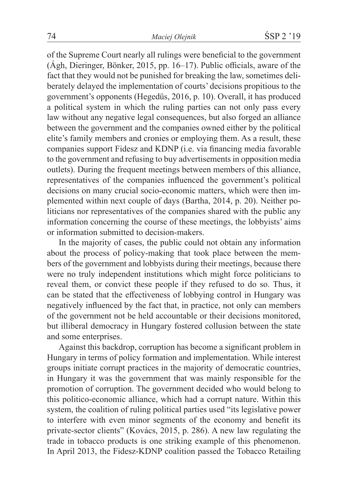of the Supreme Court nearly all rulings were beneficial to the government (Ágh, Dieringer, Bönker, 2015, pp. 16–17). Public officials, aware of the fact that they would not be punished for breaking the law, sometimes deliberately delayed the implementation of courts' decisions propitious to the government's opponents (Hegedüs, 2016, p. 10). Overall, it has produced a political system in which the ruling parties can not only pass every law without any negative legal consequences, but also forged an alliance between the government and the companies owned either by the political elite's family members and cronies or employing them. As a result, these companies support Fidesz and KDNP (i.e. via financing media favorable to the government and refusing to buy advertisements in opposition media outlets). During the frequent meetings between members of this alliance, representatives of the companies influenced the government's political decisions on many crucial socio-economic matters, which were then implemented within next couple of days (Bartha, 2014, p. 20). Neither politicians nor representatives of the companies shared with the public any information concerning the course of these meetings, the lobbyists' aims or information submitted to decision-makers.

In the majority of cases, the public could not obtain any information about the process of policy-making that took place between the members of the government and lobbyists during their meetings, because there were no truly independent institutions which might force politicians to reveal them, or convict these people if they refused to do so. Thus, it can be stated that the effectiveness of lobbying control in Hungary was negatively influenced by the fact that, in practice, not only can members of the government not be held accountable or their decisions monitored, but illiberal democracy in Hungary fostered collusion between the state and some enterprises.

Against this backdrop, corruption has become a significant problem in Hungary in terms of policy formation and implementation. While interest groups initiate corrupt practices in the majority of democratic countries, in Hungary it was the government that was mainly responsible for the promotion of corruption. The government decided who would belong to this politico-economic alliance, which had a corrupt nature. Within this system, the coalition of ruling political parties used "its legislative power to interfere with even minor segments of the economy and benefit its private-sector clients" (Kovács, 2015, p. 286). A new law regulating the trade in tobacco products is one striking example of this phenomenon. In April 2013, the Fidesz-KDNP coalition passed the Tobacco Retailing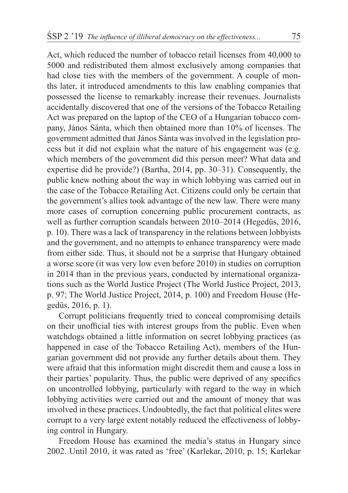Act, which reduced the number of tobacco retail licenses from 40,000 to 5000 and redistributed them almost exclusively among companies that had close ties with the members of the government. A couple of months later, it introduced amendments to this law enabling companies that possessed the license to remarkably increase their revenues. Journalists accidentally discovered that one of the versions of the Tobacco Retailing Act was prepared on the laptop of the CEO of a Hungarian tobacco company, János Sánta, which then obtained more than 10% of licenses. The government admitted that János Sánta was involved in the legislation process but it did not explain what the nature of his engagement was (e.g. which members of the government did this person meet? What data and expertise did he provide?) (Bartha, 2014, pp. 30–31). Consequently, the public knew nothing about the way in which lobbying was carried out in the case of the Tobacco Retailing Act. Citizens could only be certain that the government's allies took advantage of the new law. There were many more cases of corruption concerning public procurement contracts, as well as further corruption scandals between 2010–2014 (Hegedüs, 2016, p. 10). There was a lack of transparency in the relations between lobbyists and the government, and no attempts to enhance transparency were made from either side. Thus, it should not be a surprise that Hungary obtained a worse score (it was very low even before 2010) in studies on corruption in 2014 than in the previous years, conducted by international organizations such as the World Justice Project (The World Justice Project, 2013, p. 97; The World Justice Project, 2014, p. 100) and Freedom House (Hegedüs, 2016, p. 1).

Corrupt politicians frequently tried to conceal compromising details on their unofficial ties with interest groups from the public. Even when watchdogs obtained a little information on secret lobbying practices (as happened in case of the Tobacco Retailing Act), members of the Hungarian government did not provide any further details about them. They were afraid that this information might discredit them and cause a loss in their parties' popularity. Thus, the public were deprived of any specifics on uncontrolled lobbying, particularly with regard to the way in which lobbying activities were carried out and the amount of money that was involved in these practices. Undoubtedly, the fact that political elites were corrupt to a very large extent notably reduced the effectiveness of lobbying control in Hungary.

Freedom House has examined the media's status in Hungary since 2002. Until 2010, it was rated as 'free' (Karlekar, 2010, p. 15; Karlekar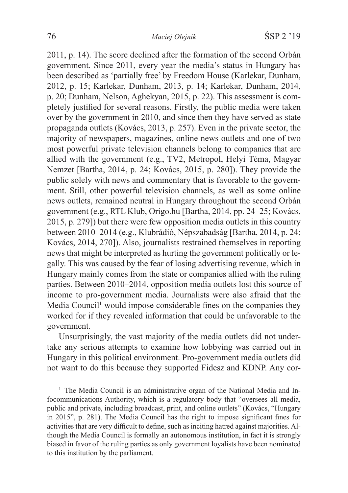2011, p. 14). The score declined after the formation of the second Orbán government. Since 2011, every year the media's status in Hungary has been described as 'partially free' by Freedom House (Karlekar, Dunham, 2012, p. 15; Karlekar, Dunham, 2013, p. 14; Karlekar, Dunham, 2014, p. 20; Dunham, Nelson, Aghekyan, 2015, p. 22). This assessment is completely justified for several reasons. Firstly, the public media were taken over by the government in 2010, and since then they have served as state propaganda outlets (Kovács, 2013, p. 257). Even in the private sector, the majority of newspapers, magazines, online news outlets and one of two most powerful private television channels belong to companies that are allied with the government (e.g., TV2, Metropol, Helyi Téma, Magyar Nemzet [Bartha, 2014, p. 24; Kovács, 2015, p. 280]). They provide the public solely with news and commentary that is favorable to the government. Still, other powerful television channels, as well as some online news outlets, remained neutral in Hungary throughout the second Orbán government (e.g., RTL Klub, Origo.hu [Bartha, 2014, pp. 24–25; Kovács, 2015, p. 279]) but there were few opposition media outlets in this country between 2010–2014 (e.g., Klubrádió, Népszabadság [Bartha, 2014, p. 24; Kovács, 2014, 270]). Also, journalists restrained themselves in reporting news that might be interpreted as hurting the government politically or legally. This was caused by the fear of losing advertising revenue, which in Hungary mainly comes from the state or companies allied with the ruling parties. Between 2010–2014, opposition media outlets lost this source of income to pro-government media. Journalists were also afraid that the Media Council<sup>1</sup> would impose considerable fines on the companies they worked for if they revealed information that could be unfavorable to the government.

Unsurprisingly, the vast majority of the media outlets did not undertake any serious attempts to examine how lobbying was carried out in Hungary in this political environment. Pro-government media outlets did not want to do this because they supported Fidesz and KDNP. Any cor-

<sup>&</sup>lt;sup>1</sup> The Media Council is an administrative organ of the National Media and Infocommunications Authority, which is a regulatory body that "oversees all media, public and private, including broadcast, print, and online outlets" (Kovács, "Hungary in 2015", p. 281). The Media Council has the right to impose significant fines for activities that are very difficult to define, such as inciting hatred against majorities. Although the Media Council is formally an autonomous institution, in fact it is strongly biased in favor of the ruling parties as only government loyalists have been nominated to this institution by the parliament.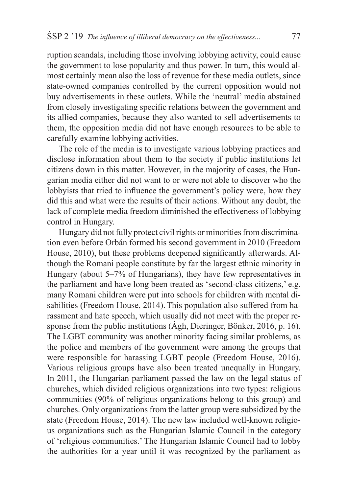ruption scandals, including those involving lobbying activity, could cause the government to lose popularity and thus power. In turn, this would almost certainly mean also the loss of revenue for these media outlets, since state-owned companies controlled by the current opposition would not buy advertisements in these outlets. While the 'neutral' media abstained from closely investigating specific relations between the government and its allied companies, because they also wanted to sell advertisements to them, the opposition media did not have enough resources to be able to carefully examine lobbying activities.

The role of the media is to investigate various lobbying practices and disclose information about them to the society if public institutions let citizens down in this matter. However, in the majority of cases, the Hungarian media either did not want to or were not able to discover who the lobbyists that tried to influence the government's policy were, how they did this and what were the results of their actions. Without any doubt, the lack of complete media freedom diminished the effectiveness of lobbying control in Hungary.

Hungary did not fully protect civil rights or minorities from discrimination even before Orbán formed his second government in 2010 (Freedom House, 2010), but these problems deepened significantly afterwards. Although the Romani people constitute by far the largest ethnic minority in Hungary (about 5–7% of Hungarians), they have few representatives in the parliament and have long been treated as 'second-class citizens,' e.g. many Romani children were put into schools for children with mental disabilities (Freedom House, 2014). This population also suffered from harassment and hate speech, which usually did not meet with the proper response from the public institutions (Ágh, Dieringer, Bönker, 2016, p. 16). The LGBT community was another minority facing similar problems, as the police and members of the government were among the groups that were responsible for harassing LGBT people (Freedom House, 2016). Various religious groups have also been treated unequally in Hungary. In 2011, the Hungarian parliament passed the law on the legal status of churches, which divided religious organizations into two types: religious communities (90% of religious organizations belong to this group) and churches. Only organizations from the latter group were subsidized by the state (Freedom House, 2014). The new law included well-known religious organizations such as the Hungarian Islamic Council in the category of 'religious communities.' The Hungarian Islamic Council had to lobby the authorities for a year until it was recognized by the parliament as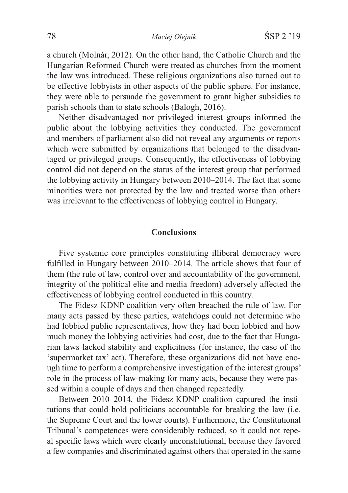a church (Molnár, 2012). On the other hand, the Catholic Church and the Hungarian Reformed Church were treated as churches from the moment the law was introduced. These religious organizations also turned out to be effective lobbyists in other aspects of the public sphere. For instance, they were able to persuade the government to grant higher subsidies to parish schools than to state schools (Balogh, 2016).

Neither disadvantaged nor privileged interest groups informed the public about the lobbying activities they conducted. The government and members of parliament also did not reveal any arguments or reports which were submitted by organizations that belonged to the disadvantaged or privileged groups. Consequently, the effectiveness of lobbying control did not depend on the status of the interest group that performed the lobbying activity in Hungary between 2010–2014. The fact that some minorities were not protected by the law and treated worse than others was irrelevant to the effectiveness of lobbying control in Hungary.

#### **Conclusions**

Five systemic core principles constituting illiberal democracy were fulfilled in Hungary between 2010–2014. The article shows that four of them (the rule of law, control over and accountability of the government, integrity of the political elite and media freedom) adversely affected the effectiveness of lobbying control conducted in this country.

The Fidesz-KDNP coalition very often breached the rule of law. For many acts passed by these parties, watchdogs could not determine who had lobbied public representatives, how they had been lobbied and how much money the lobbying activities had cost, due to the fact that Hungarian laws lacked stability and explicitness (for instance, the case of the 'supermarket tax' act). Therefore, these organizations did not have enough time to perform a comprehensive investigation of the interest groups' role in the process of law-making for many acts, because they were passed within a couple of days and then changed repeatedly.

Between 2010–2014, the Fidesz-KDNP coalition captured the institutions that could hold politicians accountable for breaking the law (i.e. the Supreme Court and the lower courts). Furthermore, the Constitutional Tribunal's competences were considerably reduced, so it could not repeal specific laws which were clearly unconstitutional, because they favored a few companies and discriminated against others that operated in the same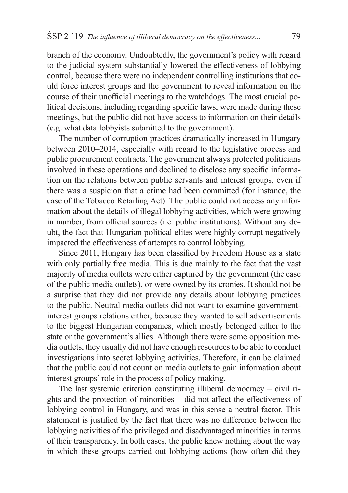branch of the economy. Undoubtedly, the government's policy with regard to the judicial system substantially lowered the effectiveness of lobbying control, because there were no independent controlling institutions that could force interest groups and the government to reveal information on the course of their unofficial meetings to the watchdogs. The most crucial political decisions, including regarding specific laws, were made during these meetings, but the public did not have access to information on their details (e.g. what data lobbyists submitted to the government).

The number of corruption practices dramatically increased in Hungary between 2010–2014, especially with regard to the legislative process and public procurement contracts. The government always protected politicians involved in these operations and declined to disclose any specific information on the relations between public servants and interest groups, even if there was a suspicion that a crime had been committed (for instance, the case of the Tobacco Retailing Act). The public could not access any information about the details of illegal lobbying activities, which were growing in number, from official sources (i.e. public institutions). Without any doubt, the fact that Hungarian political elites were highly corrupt negatively impacted the effectiveness of attempts to control lobbying.

Since 2011, Hungary has been classified by Freedom House as a state with only partially free media. This is due mainly to the fact that the vast majority of media outlets were either captured by the government (the case of the public media outlets), or were owned by its cronies. It should not be a surprise that they did not provide any details about lobbying practices to the public. Neutral media outlets did not want to examine governmentinterest groups relations either, because they wanted to sell advertisements to the biggest Hungarian companies, which mostly belonged either to the state or the government's allies. Although there were some opposition media outlets, they usually did not have enough resources to be able to conduct investigations into secret lobbying activities. Therefore, it can be claimed that the public could not count on media outlets to gain information about interest groups' role in the process of policy making.

The last systemic criterion constituting illiberal democracy – civil rights and the protection of minorities – did not affect the effectiveness of lobbying control in Hungary, and was in this sense a neutral factor. This statement is justified by the fact that there was no difference between the lobbying activities of the privileged and disadvantaged minorities in terms of their transparency. In both cases, the public knew nothing about the way in which these groups carried out lobbying actions (how often did they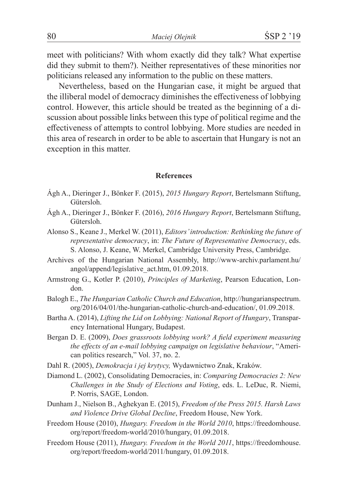meet with politicians? With whom exactly did they talk? What expertise did they submit to them?). Neither representatives of these minorities nor politicians released any information to the public on these matters.

Nevertheless, based on the Hungarian case, it might be argued that the illiberal model of democracy diminishes the effectiveness of lobbying control. However, this article should be treated as the beginning of a discussion about possible links between this type of political regime and the effectiveness of attempts to control lobbying. More studies are needed in this area of research in order to be able to ascertain that Hungary is not an exception in this matter.

#### **References**

- Ágh A., Dieringer J., Bönker F. (2015), *2015 Hungary Report*, Bertelsmann Stiftung, Gütersloh.
- Ágh A., Dieringer J., Bönker F. (2016), *2016 Hungary Report*, Bertelsmann Stiftung, Gütersloh.
- Alonso S., Keane J., Merkel W. (2011), *Editors'introduction: Rethinking the future of representative democracy*, in: *The Future of Representative Democracy*, eds. S. Alonso, J. Keane, W. Merkel, Cambridge University Press, Cambridge.
- Archives of the Hungarian National Assembly, http://www-archiv.parlament.hu/ angol/append/legislative\_act.htm, 01.09.2018.
- Armstrong G., Kotler P. (2010), *Principles of Marketing*, Pearson Education, London.
- Balogh E., *The Hungarian Catholic Church and Education*, http://hungarianspectrum. org/2016/04/01/the-hungarian-catholic-church-and-education/, 01.09.2018.
- Bartha A. (2014), *Lifting the Lid on Lobbying: National Report of Hungary*, Transparency International Hungary, Budapest.
- Bergan D. E. (2009), *Does grassroots lobbying work? A field experiment measuring the effects of an e-mail lobbying campaign on legislative behaviour*, "American politics research," Vol. 37, no. 2.
- Dahl R. (2005), *Demokracja i jej krytycy,* Wydawnictwo Znak, Kraków.
- Diamond L. (2002), Consolidating Democracies, in: *Comparing Democracies 2: New Challenges in the Study of Elections and Voting*, eds. L. LeDuc, R. Niemi, P. Norris, SAGE, London.
- Dunham J., Nielson B., Aghekyan E. (2015), *Freedom of the Press 2015. Harsh Laws and Violence Drive Global Decline*, Freedom House, New York.
- Freedom House (2010), *Hungary. Freedom in the World 2010*, https://freedomhouse. org/report/freedom-world/2010/hungary, 01.09.2018.
- Freedom House (2011), *Hungary. Freedom in the World 2011*, https://freedomhouse. org/report/freedom-world/2011/hungary, 01.09.2018.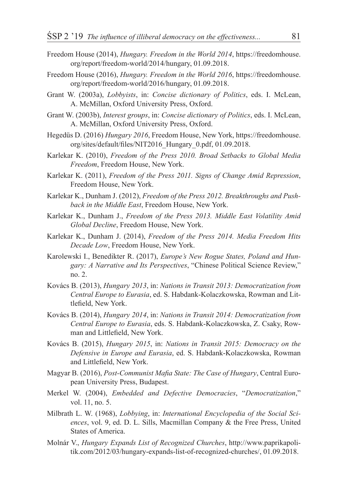- Freedom House (2014), *Hungary. Freedom in the World 2014*, https://freedomhouse. org/report/freedom-world/2014/hungary, 01.09.2018.
- Freedom House (2016), *Hungary. Freedom in the World 2016*, https://freedomhouse. org/report/freedom-world/2016/hungary, 01.09.2018.
- Grant W. (2003a), *Lobbyists*, in: *Concise dictionary of Politics*, eds. I. McLean, A. McMillan, Oxford University Press, Oxford.
- Grant W. (2003b), *Interest groups*, in: *Concise dictionary of Politics*, eds. I. McLean, A. McMillan, Oxford University Press, Oxford.
- Hegedüs D. (2016) *Hungary 2016*, Freedom House, New York, https://freedomhouse. org/sites/default/files/NIT2016\_Hungary\_0.pdf, 01.09.2018.
- Karlekar K. (2010), *Freedom of the Press 2010. Broad Setbacks to Global Media Freedom*, Freedom House, New York.
- Karlekar K. (2011), *Freedom of the Press 2011. Signs of Change Amid Repression*, Freedom House, New York.
- Karlekar K., Dunham J. (2012), *Freedom of the Press 2012. Breakthroughs and Pushback in the Middle East*, Freedom House, New York.
- Karlekar K., Dunham J., *Freedom of the Press 2013. Middle East Volatility Amid Global Decline*, Freedom House, New York.
- Karlekar K., Dunham J. (2014), *Freedom of the Press 2014. Media Freedom Hits Decade Low*, Freedom House, New York.
- Karolewski I., Benedikter R. (2017), *Europe's New Rogue States, Poland and Hungary: A Narrative and Its Perspectives*, "Chinese Political Science Review," no. 2.
- Kovács B. (2013), *Hungary 2013*, in: *Nations in Transit 2013: Democratization from Central Europe to Eurasia*, ed. S. Habdank-Kolaczkowska, Rowman and Littlefield, New York.
- Kovács B. (2014), *Hungary 2014*, in: *Nations in Transit 2014: Democratization from Central Europe to Eurasia*, eds. S. Habdank-Kolaczkowska, Z. Csaky, Rowman and Littlefield, New York.
- Kovács B. (2015), *Hungary 2015*, in: *Nations in Transit 2015: Democracy on the Defensive in Europe and Eurasia*, ed. S. Habdank-Kolaczkowska, Rowman and Littlefield, New York.
- Magyar B. (2016), *Post-Communist Mafia State: The Case of Hungary*, Central European University Press, Budapest.
- Merkel W. (2004), *Embedded and Defective Democracies*, "*Democratization*," vol. 11, no. 5.
- Milbrath L. W. (1968), *Lobbying*, in: *International Encyclopedia of the Social Sciences*, vol. 9, ed. D. L. Sills, Macmillan Company & the Free Press, United States of America.
- Molnár V., *Hungary Expands List of Recognized Churches*, http://www.paprikapolitik.com/2012/03/hungary-expands-list-of-recognized-churches/, 01.09.2018.